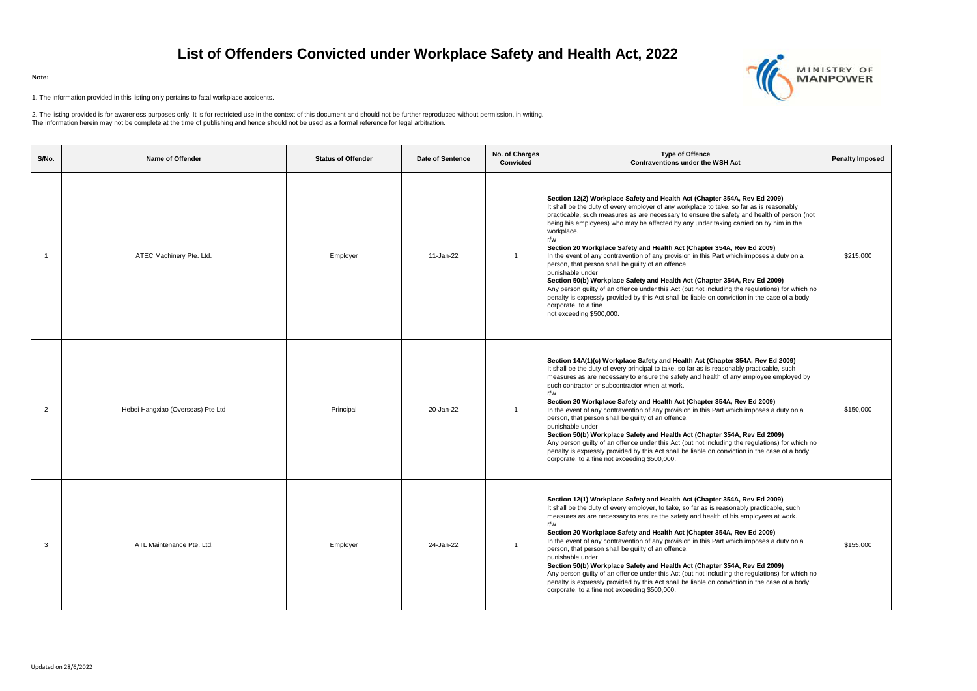| S/No.          | Name of Offender                  | <b>Status of Offender</b> | Date of Sentence | No. of Charges<br>Convicted | <b>Type of Offence</b><br><b>Contraventions under the WSH Act</b>                                                                                                                                                                                                                                                                                                                                                                                                                                                                                                                                                                                                                                                                                                                                                                                                                                                                                                       | <b>Penalty Imposed</b> |
|----------------|-----------------------------------|---------------------------|------------------|-----------------------------|-------------------------------------------------------------------------------------------------------------------------------------------------------------------------------------------------------------------------------------------------------------------------------------------------------------------------------------------------------------------------------------------------------------------------------------------------------------------------------------------------------------------------------------------------------------------------------------------------------------------------------------------------------------------------------------------------------------------------------------------------------------------------------------------------------------------------------------------------------------------------------------------------------------------------------------------------------------------------|------------------------|
| -1             | ATEC Machinery Pte. Ltd.          | Employer                  | 11-Jan-22        |                             | Section 12(2) Workplace Safety and Health Act (Chapter 354A, Rev Ed 2009)<br>It shall be the duty of every employer of any workplace to take, so far as is reasonably<br>practicable, such measures as are necessary to ensure the safety and health of person (not<br>being his employees) who may be affected by any under taking carried on by him in the<br>workplace.<br>r/w<br>Section 20 Workplace Safety and Health Act (Chapter 354A, Rev Ed 2009)<br>In the event of any contravention of any provision in this Part which imposes a duty on a<br>person, that person shall be guilty of an offence.<br>punishable under<br>Section 50(b) Workplace Safety and Health Act (Chapter 354A, Rev Ed 2009)<br>Any person guilty of an offence under this Act (but not including the regulations) for which no<br>penalty is expressly provided by this Act shall be liable on conviction in the case of a body<br>corporate, to a fine<br>not exceeding \$500,000. | \$215,000              |
| $\overline{2}$ | Hebei Hangxiao (Overseas) Pte Ltd | Principal                 | 20-Jan-22        |                             | Section 14A(1)(c) Workplace Safety and Health Act (Chapter 354A, Rev Ed 2009)<br>It shall be the duty of every principal to take, so far as is reasonably practicable, such<br>measures as are necessary to ensure the safety and health of any employee employed by<br>such contractor or subcontractor when at work.<br>r/w<br>Section 20 Workplace Safety and Health Act (Chapter 354A, Rev Ed 2009)<br>In the event of any contravention of any provision in this Part which imposes a duty on a<br>person, that person shall be guilty of an offence.<br>punishable under<br>Section 50(b) Workplace Safety and Health Act (Chapter 354A, Rev Ed 2009)<br>Any person guilty of an offence under this Act (but not including the regulations) for which no<br>penalty is expressly provided by this Act shall be liable on conviction in the case of a body<br>corporate, to a fine not exceeding \$500,000.                                                        | \$150,000              |
| 3              | ATL Maintenance Pte. Ltd.         | Employer                  | 24-Jan-22        | $\mathbf{1}$                | Section 12(1) Workplace Safety and Health Act (Chapter 354A, Rev Ed 2009)<br>It shall be the duty of every employer, to take, so far as is reasonably practicable, such<br>measures as are necessary to ensure the safety and health of his employees at work.<br>r/w<br>Section 20 Workplace Safety and Health Act (Chapter 354A, Rev Ed 2009)<br>In the event of any contravention of any provision in this Part which imposes a duty on a<br>person, that person shall be guilty of an offence.<br>punishable under<br>Section 50(b) Workplace Safety and Health Act (Chapter 354A, Rev Ed 2009)<br>Any person guilty of an offence under this Act (but not including the regulations) for which no<br>penalty is expressly provided by this Act shall be liable on conviction in the case of a body<br>corporate, to a fine not exceeding \$500,000.                                                                                                                | \$155,000              |

## **List of Offenders Convicted under Workplace Safety and Health Act, 2022**

## **Note:**

1. The information provided in this listing only pertains to fatal workplace accidents.

2. The listing provided is for awareness purposes only. It is for restricted use in the context of this document and should not be further reproduced without permission, in writing. The information herein may not be complete at the time of publishing and hence should not be used as a formal reference for legal arbitration.

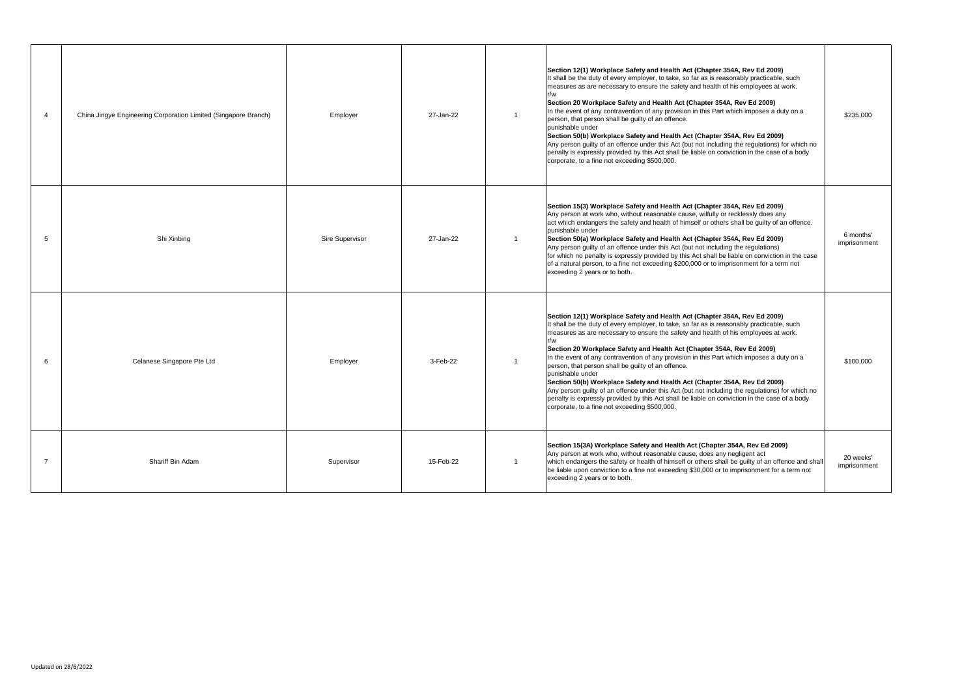|   | China Jingye Engineering Corporation Limited (Singapore Branch) | Employer        | 27-Jan-22 | $\overline{1}$ | Section 12(1) Workplace Safety and Health Act (Chapter 354A, Rev Ed 2009)<br>It shall be the duty of every employer, to take, so far as is reasonably practicable, such<br>measures as are necessary to ensure the safety and health of his employees at work.<br>r/w<br>Section 20 Workplace Safety and Health Act (Chapter 354A, Rev Ed 2009)<br>In the event of any contravention of any provision in this Part which imposes a duty on a<br>person, that person shall be guilty of an offence.<br>punishable under<br>Section 50(b) Workplace Safety and Health Act (Chapter 354A, Rev Ed 2009)<br>Any person guilty of an offence under this Act (but not including the regulations) for which no<br>penalty is expressly provided by this Act shall be liable on conviction in the case of a body<br>corporate, to a fine not exceeding \$500,000. | \$235,000                 |
|---|-----------------------------------------------------------------|-----------------|-----------|----------------|----------------------------------------------------------------------------------------------------------------------------------------------------------------------------------------------------------------------------------------------------------------------------------------------------------------------------------------------------------------------------------------------------------------------------------------------------------------------------------------------------------------------------------------------------------------------------------------------------------------------------------------------------------------------------------------------------------------------------------------------------------------------------------------------------------------------------------------------------------|---------------------------|
| 5 | Shi Xinbing                                                     | Sire Supervisor | 27-Jan-22 | $\overline{1}$ | Section 15(3) Workplace Safety and Health Act (Chapter 354A, Rev Ed 2009)<br>Any person at work who, without reasonable cause, wilfully or recklessly does any<br>act which endangers the safety and health of himself or others shall be guilty of an offence.<br>punishable under<br>Section 50(a) Workplace Safety and Health Act (Chapter 354A, Rev Ed 2009)<br>Any person guilty of an offence under this Act (but not including the regulations)<br>for which no penalty is expressly provided by this Act shall be liable on conviction in the case<br>of a natural person, to a fine not exceeding \$200,000 or to imprisonment for a term not<br>exceeding 2 years or to both.                                                                                                                                                                  | 6 months'<br>imprisonment |
| 6 | Celanese Singapore Pte Ltd                                      | Employer        | 3-Feb-22  | $\overline{1}$ | Section 12(1) Workplace Safety and Health Act (Chapter 354A, Rev Ed 2009)<br>It shall be the duty of every employer, to take, so far as is reasonably practicable, such<br>measures as are necessary to ensure the safety and health of his employees at work.<br>r/w<br>Section 20 Workplace Safety and Health Act (Chapter 354A, Rev Ed 2009)<br>In the event of any contravention of any provision in this Part which imposes a duty on a<br>person, that person shall be guilty of an offence.<br>punishable under<br>Section 50(b) Workplace Safety and Health Act (Chapter 354A, Rev Ed 2009)<br>Any person guilty of an offence under this Act (but not including the regulations) for which no<br>penalty is expressly provided by this Act shall be liable on conviction in the case of a body<br>corporate, to a fine not exceeding \$500,000. | \$100,000                 |
|   | Shariff Bin Adam                                                | Supervisor      | 15-Feb-22 | $\overline{1}$ | Section 15(3A) Workplace Safety and Health Act (Chapter 354A, Rev Ed 2009)<br>Any person at work who, without reasonable cause, does any negligent act<br>which endangers the safety or health of himself or others shall be guilty of an offence and shall<br>be liable upon conviction to a fine not exceeding \$30,000 or to imprisonment for a term not<br>exceeding 2 years or to both.                                                                                                                                                                                                                                                                                                                                                                                                                                                             | 20 weeks'<br>imprisonment |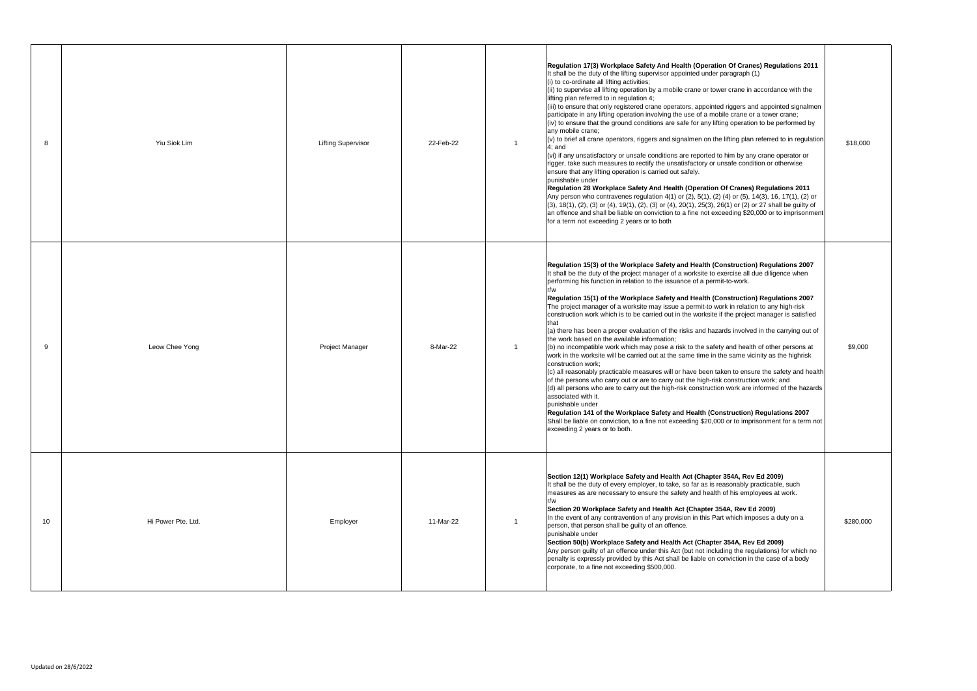| 8  | Yiu Siok Lim       | <b>Lifting Supervisor</b> | 22-Feb-22 | Regulation 17(3) Workplace Safety And Health (Operation Of Cranes) Regulations 2011<br>It shall be the duty of the lifting supervisor appointed under paragraph (1)<br>(i) to co-ordinate all lifting activities;<br>(ii) to supervise all lifting operation by a mobile crane or tower crane in accordance with the<br>lifting plan referred to in regulation 4;<br>(iii) to ensure that only registered crane operators, appointed riggers and appointed signalmen<br>participate in any lifting operation involving the use of a mobile crane or a tower crane;<br>(iv) to ensure that the ground conditions are safe for any lifting operation to be performed by<br>any mobile crane:<br>$(v)$ to brief all crane operators, riggers and signalmen on the lifting plan referred to in regulation<br>-1<br>$4:$ and<br>(vi) if any unsatisfactory or unsafe conditions are reported to him by any crane operator or<br>rigger, take such measures to rectify the unsatisfactory or unsafe condition or otherwise<br>ensure that any lifting operation is carried out safely.<br>punishable under<br>Regulation 28 Workplace Safety And Health (Operation Of Cranes) Regulations 2011<br>Any person who contravenes regulation 4(1) or (2), 5(1), (2) (4) or (5), 14(3), 16, 17(1), (2) or<br>$(3)$ , 18(1), (2), (3) or (4), 19(1), (2), (3) or (4), 20(1), 25(3), 26(1) or (2) or 27 shall be guilty of<br>an offence and shall be liable on conviction to a fine not exceeding \$20,000 or to imprisonment<br>for a term not exceeding 2 years or to both | \$18,000  |
|----|--------------------|---------------------------|-----------|-----------------------------------------------------------------------------------------------------------------------------------------------------------------------------------------------------------------------------------------------------------------------------------------------------------------------------------------------------------------------------------------------------------------------------------------------------------------------------------------------------------------------------------------------------------------------------------------------------------------------------------------------------------------------------------------------------------------------------------------------------------------------------------------------------------------------------------------------------------------------------------------------------------------------------------------------------------------------------------------------------------------------------------------------------------------------------------------------------------------------------------------------------------------------------------------------------------------------------------------------------------------------------------------------------------------------------------------------------------------------------------------------------------------------------------------------------------------------------------------------------------------------------------------------------------------|-----------|
| 9  | Leow Chee Yong     | Project Manager           | 8-Mar-22  | Regulation 15(3) of the Workplace Safety and Health (Construction) Regulations 2007<br>It shall be the duty of the project manager of a worksite to exercise all due diligence when<br>performing his function in relation to the issuance of a permit-to-work.<br>r/w<br>Regulation 15(1) of the Workplace Safety and Health (Construction) Regulations 2007<br>The project manager of a worksite may issue a permit-to work in relation to any high-risk<br>construction work which is to be carried out in the worksite if the project manager is satisfied<br>that<br>(a) there has been a proper evaluation of the risks and hazards involved in the carrying out of<br>the work based on the available information;<br>(b) no incompatible work which may pose a risk to the safety and health of other persons at<br>work in the worksite will be carried out at the same time in the same vicinity as the highrisk<br>construction work;<br>(c) all reasonably practicable measures will or have been taken to ensure the safety and health<br>of the persons who carry out or are to carry out the high-risk construction work; and<br>(d) all persons who are to carry out the high-risk construction work are informed of the hazards<br>associated with it.<br>punishable under<br>Regulation 141 of the Workplace Safety and Health (Construction) Regulations 2007<br>Shall be liable on conviction, to a fine not exceeding \$20,000 or to imprisonment for a term not<br>exceeding 2 years or to both.                                          | \$9,000   |
| 10 | Hi Power Pte. Ltd. | Employer                  | 11-Mar-22 | Section 12(1) Workplace Safety and Health Act (Chapter 354A, Rev Ed 2009)<br>It shall be the duty of every employer, to take, so far as is reasonably practicable, such<br>measures as are necessary to ensure the safety and health of his employees at work.<br>r/w<br>Section 20 Workplace Safety and Health Act (Chapter 354A, Rev Ed 2009)<br>In the event of any contravention of any provision in this Part which imposes a duty on a<br>person, that person shall be guilty of an offence.<br>punishable under<br>Section 50(b) Workplace Safety and Health Act (Chapter 354A, Rev Ed 2009)<br>Any person guilty of an offence under this Act (but not including the regulations) for which no<br>penalty is expressly provided by this Act shall be liable on conviction in the case of a body<br>corporate, to a fine not exceeding \$500,000.                                                                                                                                                                                                                                                                                                                                                                                                                                                                                                                                                                                                                                                                                                        | \$280,000 |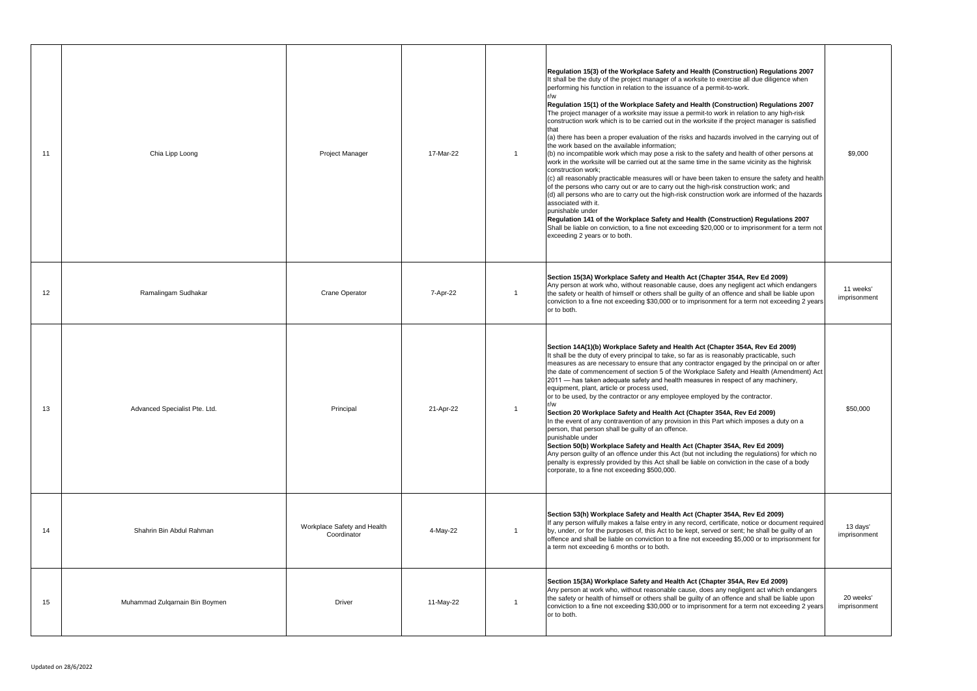| 11 | Chia Lipp Loong                | <b>Project Manager</b>                     | 17-Mar-22 | Regulation 15(3) of the Workplace Safety and Health (Construction) Regulations 2007<br>It shall be the duty of the project manager of a worksite to exercise all due diligence when<br>performing his function in relation to the issuance of a permit-to-work.<br>Regulation 15(1) of the Workplace Safety and Health (Construction) Regulations 2007<br>The project manager of a worksite may issue a permit-to work in relation to any high-risk<br>construction work which is to be carried out in the worksite if the project manager is satisfied<br>that<br>(a) there has been a proper evaluation of the risks and hazards involved in the carrying out of<br>the work based on the available information;<br>(b) no incompatible work which may pose a risk to the safety and health of other persons at<br>work in the worksite will be carried out at the same time in the same vicinity as the highrisk<br>construction work:<br>(c) all reasonably practicable measures will or have been taken to ensure the safety and health<br>of the persons who carry out or are to carry out the high-risk construction work; and<br>$(d)$ all persons who are to carry out the high-risk construction work are informed of the hazards<br>associated with it.<br>punishable under<br>Regulation 141 of the Workplace Safety and Health (Construction) Regulations 2007<br>Shall be liable on conviction, to a fine not exceeding \$20,000 or to imprisonment for a term not<br>exceeding 2 years or to both. | \$9,000                   |
|----|--------------------------------|--------------------------------------------|-----------|-------------------------------------------------------------------------------------------------------------------------------------------------------------------------------------------------------------------------------------------------------------------------------------------------------------------------------------------------------------------------------------------------------------------------------------------------------------------------------------------------------------------------------------------------------------------------------------------------------------------------------------------------------------------------------------------------------------------------------------------------------------------------------------------------------------------------------------------------------------------------------------------------------------------------------------------------------------------------------------------------------------------------------------------------------------------------------------------------------------------------------------------------------------------------------------------------------------------------------------------------------------------------------------------------------------------------------------------------------------------------------------------------------------------------------------------------------------------------------------------------------------------|---------------------------|
| 12 | Ramalingam Sudhakar            | <b>Crane Operator</b>                      | 7-Apr-22  | Section 15(3A) Workplace Safety and Health Act (Chapter 354A, Rev Ed 2009)<br>Any person at work who, without reasonable cause, does any negligent act which endangers<br>the safety or health of himself or others shall be guilty of an offence and shall be liable upon<br>conviction to a fine not exceeding \$30,000 or to imprisonment for a term not exceeding 2 years<br>or to both.                                                                                                                                                                                                                                                                                                                                                                                                                                                                                                                                                                                                                                                                                                                                                                                                                                                                                                                                                                                                                                                                                                                      | 11 weeks'<br>imprisonment |
| 13 | Advanced Specialist Pte. Ltd.  | Principal                                  | 21-Apr-22 | Section 14A(1)(b) Workplace Safety and Health Act (Chapter 354A, Rev Ed 2009)<br>It shall be the duty of every principal to take, so far as is reasonably practicable, such<br>measures as are necessary to ensure that any contractor engaged by the principal on or after<br>the date of commencement of section 5 of the Workplace Safety and Health (Amendment) Act<br>2011 — has taken adequate safety and health measures in respect of any machinery,<br>equipment, plant, article or process used,<br>or to be used, by the contractor or any employee employed by the contractor.<br>r/w<br>Section 20 Workplace Safety and Health Act (Chapter 354A, Rev Ed 2009)<br>In the event of any contravention of any provision in this Part which imposes a duty on a<br>person, that person shall be guilty of an offence.<br>punishable under<br>Section 50(b) Workplace Safety and Health Act (Chapter 354A, Rev Ed 2009)<br>Any person guilty of an offence under this Act (but not including the regulations) for which no<br>penalty is expressly provided by this Act shall be liable on conviction in the case of a body<br>corporate, to a fine not exceeding \$500,000.                                                                                                                                                                                                                                                                                                                              | \$50,000                  |
| 14 | Shahrin Bin Abdul Rahman       | Workplace Safety and Health<br>Coordinator | 4-May-22  | Section 53(h) Workplace Safety and Health Act (Chapter 354A, Rev Ed 2009)<br>If any person wilfully makes a false entry in any record, certificate, notice or document required<br>by, under, or for the purposes of, this Act to be kept, served or sent; he shall be guilty of an<br>offence and shall be liable on conviction to a fine not exceeding \$5,000 or to imprisonment for<br>a term not exceeding 6 months or to both.                                                                                                                                                                                                                                                                                                                                                                                                                                                                                                                                                                                                                                                                                                                                                                                                                                                                                                                                                                                                                                                                              | 13 days'<br>imprisonment  |
| 15 | Muhammad Zulqarnain Bin Boymen | Driver                                     | 11-May-22 | Section 15(3A) Workplace Safety and Health Act (Chapter 354A, Rev Ed 2009)<br>Any person at work who, without reasonable cause, does any negligent act which endangers<br>the safety or health of himself or others shall be guilty of an offence and shall be liable upon<br>conviction to a fine not exceeding \$30,000 or to imprisonment for a term not exceeding 2 years<br>or to both.                                                                                                                                                                                                                                                                                                                                                                                                                                                                                                                                                                                                                                                                                                                                                                                                                                                                                                                                                                                                                                                                                                                      | 20 weeks'<br>imprisonment |